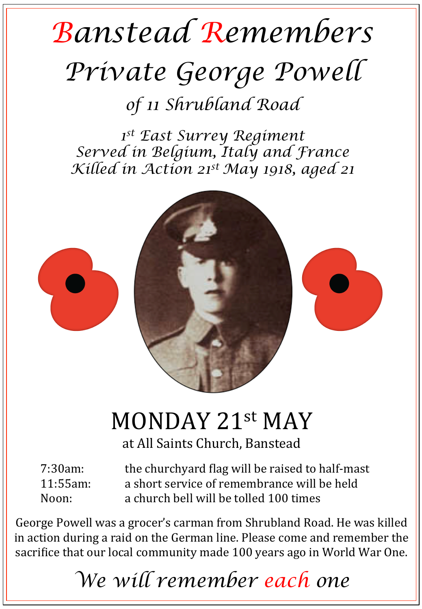## *Banstead Remembers Private George Powell*

*of 11 Shrubland Road* 

*1st East Surrey Regiment Served in Belgium, Italy and France Killed in Action 21st May 1918, aged 21* 



## MONDAY 21st MAY

at All Saints Church, Banstead

7:30am: the churchyard flag will be raised to half-mast 11:55am: a short service of remembrance will be held Noon: a church bell will be tolled 100 times

George Powell was a grocer's carman from Shrubland Road. He was killed in action during a raid on the German line. Please come and remember the sacrifice that our local community made 100 years ago in World War One.

*We will remember each one*